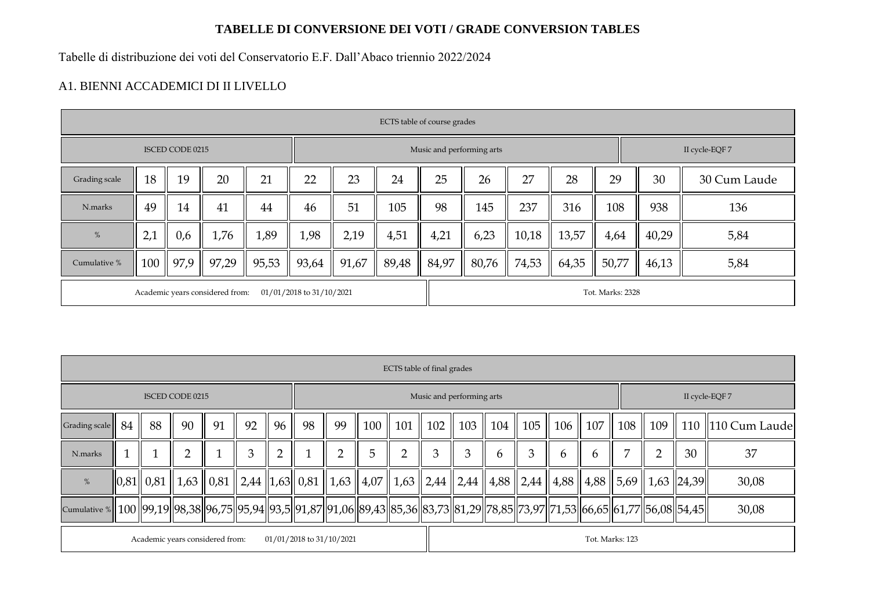## **TABELLE DI CONVERSIONE DEI VOTI / GRADE CONVERSION TABLES**

Tabelle di distribuzione dei voti del Conservatorio E.F. Dall'Abaco triennio 2022/2024

## A1. BIENNI ACCADEMICI DI II LIVELLO

|                                                             | ECTS table of course grades |      |       |       |       |       |       |                           |                  |       |       |       |                |              |  |
|-------------------------------------------------------------|-----------------------------|------|-------|-------|-------|-------|-------|---------------------------|------------------|-------|-------|-------|----------------|--------------|--|
| <b>ISCED CODE 0215</b>                                      |                             |      |       |       |       |       |       | Music and performing arts |                  |       |       |       | II cycle-EQF 7 |              |  |
| Grading scale                                               | 18                          | 19   | 20    | 21    | 22    | 23    | 24    | 25                        | 26               | 27    | 28    | 29    | 30             | 30 Cum Laude |  |
| N.marks                                                     | 49                          | 14   | 41    | 44    | 46    | 51    | 105   | 98                        | 145              | 237   | 316   | 108   | 938            | 136          |  |
| $\%$                                                        | 2,1                         | 0,6  | 1,76  | 1,89  | 1,98  | 2,19  | 4,51  | 4,21                      | 6,23             | 10,18 | 13,57 | 4,64  | 40,29          | 5,84         |  |
| Cumulative %                                                | $100$                       | 97,9 | 97,29 | 95,53 | 93,64 | 91,67 | 89,48 | 84,97                     | 80,76            | 74,53 | 64,35 | 50,77 | 46,13          | 5,84         |  |
| Academic years considered from:<br>01/01/2018 to 31/10/2021 |                             |      |       |       |       |       |       |                           | Tot. Marks: 2328 |       |       |       |                |              |  |

|                                                                                                                                                | ECTS table of final grades                                      |                 |    |    |    |    |    |    |     |                           |     |     |             |                                                                                              |           |                |                 |     |                                    |                     |
|------------------------------------------------------------------------------------------------------------------------------------------------|-----------------------------------------------------------------|-----------------|----|----|----|----|----|----|-----|---------------------------|-----|-----|-------------|----------------------------------------------------------------------------------------------|-----------|----------------|-----------------|-----|------------------------------------|---------------------|
| <b>ISCED CODE 0215</b>                                                                                                                         |                                                                 |                 |    |    |    |    |    |    |     | Music and performing arts |     |     |             |                                                                                              |           | II cycle-EQF 7 |                 |     |                                    |                     |
| Grading scale   84                                                                                                                             |                                                                 | 88              | 90 | 91 | 92 | 96 | 98 | 99 | 100 | 101                       | 102 | 103 | 104         | $\parallel$ 105                                                                              | 106   107 |                | $\parallel$ 108 | 109 |                                    | 110   110 Cum Laude |
| N.marks                                                                                                                                        |                                                                 |                 | ∍  |    |    |    |    | ◠  | 5   |                           | 3   | 3   | $\mathbf b$ |                                                                                              | b         | 6              |                 |     | 30                                 | 37                  |
| %                                                                                                                                              |                                                                 | $\ 0.81\  0.81$ |    |    |    |    |    |    |     |                           |     |     |             | $\ 1,63\ 0,81\ 2,44\ 1,63\ 0,81\ 1,63\ 4,07\ 1,63\ 2,44\ 2,44\ 4,88\ 2,44\ 4,88\ 4,88\ 5,69$ |           |                |                 |     | $\parallel$ 1,63 $\parallel$ 24,39 | 30,08               |
| Cumulative %  100  99,19  98,38  96,75  95,94  93,5  91,87  91,06  89,43  85,36  83,73  81,29  78,85  73,97  71,53  66,65  61,77  56,08  54,45 |                                                                 |                 |    |    |    |    |    |    |     |                           |     |     |             |                                                                                              |           |                |                 |     |                                    | 30,08               |
|                                                                                                                                                | Academic years considered from:<br>$01/01/2018$ to $31/10/2021$ |                 |    |    |    |    |    |    |     |                           |     |     |             |                                                                                              |           |                | Tot. Marks: 123 |     |                                    |                     |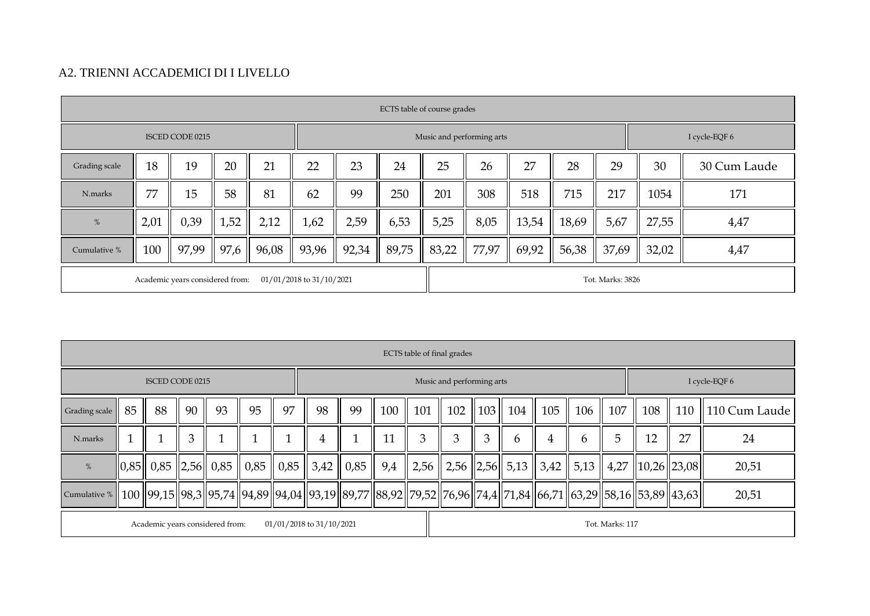## A2. TRIENNI ACCADEMICI DI I LIVELLO

|                                                                 | ECTS table of course grades |       |      |       |       |       |                  |                           |       |       |       |       |               |              |
|-----------------------------------------------------------------|-----------------------------|-------|------|-------|-------|-------|------------------|---------------------------|-------|-------|-------|-------|---------------|--------------|
| <b>ISCED CODE 0215</b>                                          |                             |       |      |       |       |       |                  | Music and performing arts |       |       |       |       | I cycle-EQF 6 |              |
| Grading scale                                                   | 18                          | 19    | 20   | 21    | 22    | 23    | 24               | 25                        | 26    | 27    | 28    | 29    | 30            | 30 Cum Laude |
| N.marks                                                         | 77                          | 15    | 58   | 81    | 62    | 99    | 250              | 201                       | 308   | 518   | 715   | 217   | 1054          | 171          |
| $\%$                                                            | 2,01                        | 0,39  | 1,52 | 2,12  | 1,62  | 2,59  | 6,53             | 5,25                      | 8,05  | 13,54 | 18,69 | 5,67  | 27,55         | 4,47         |
| Cumulative %                                                    | 100                         | 97,99 | 97,6 | 96,08 | 93,96 | 92,34 | 89,75            | 83,22                     | 77,97 | 69,92 | 56,38 | 37,69 | 32,02         | 4,47         |
| Academic years considered from:<br>$01/01/2018$ to $31/10/2021$ |                             |       |      |       |       |       | Tot. Marks: 3826 |                           |       |       |       |       |               |              |

|                                                                                                                                                           | ECTS table of final grades                                      |                           |    |    |      |      |      |      |                           |     |                 |   |                                                                                 |     |               |     |                                       |     |               |
|-----------------------------------------------------------------------------------------------------------------------------------------------------------|-----------------------------------------------------------------|---------------------------|----|----|------|------|------|------|---------------------------|-----|-----------------|---|---------------------------------------------------------------------------------|-----|---------------|-----|---------------------------------------|-----|---------------|
| <b>ISCED CODE 0215</b>                                                                                                                                    |                                                                 |                           |    |    |      |      |      |      | Music and performing arts |     |                 |   |                                                                                 |     | I cycle-EQF 6 |     |                                       |     |               |
| Grading scale                                                                                                                                             | 85                                                              | 88                        | 90 | 93 | 95   | 97   | 98   | 99   | 100                       | 101 | 102             |   | $\ 103\ $ 104                                                                   | 105 | 106           | 107 | 108                                   | 110 | 110 Cum Laude |
| N.marks                                                                                                                                                   |                                                                 |                           | 3  |    |      |      | 4    |      | 11                        |     | 3               | 3 | 6                                                                               | 4   | 6             | 5   | 12                                    | 27  | 24            |
| %                                                                                                                                                         |                                                                 | 0,85   0,85   2,56   0,85 |    |    | 0,85 | 0,85 | 3,42 | 0,85 | 9,4                       |     |                 |   | $\parallel$ 2,56 $\parallel$ 2,56 $\parallel$ 2,56 $\parallel$ 5,13 $\parallel$ |     | $3,42$   5,13 |     | $\mid$ 4,27 $\mid$ 10,26 $\mid$ 23,08 |     | 20,51         |
| Cumulative %    100   99,15   98,3   95,74   94,89   94,04   93,19   89,77   88,92   79,52   76,96   74,4   71,84   66,71   63,29   58,16   53,89   43,63 |                                                                 |                           |    |    |      |      |      |      |                           |     |                 |   |                                                                                 |     |               |     |                                       |     | 20,51         |
|                                                                                                                                                           | Academic years considered from:<br>$01/01/2018$ to $31/10/2021$ |                           |    |    |      |      |      |      |                           |     | Tot. Marks: 117 |   |                                                                                 |     |               |     |                                       |     |               |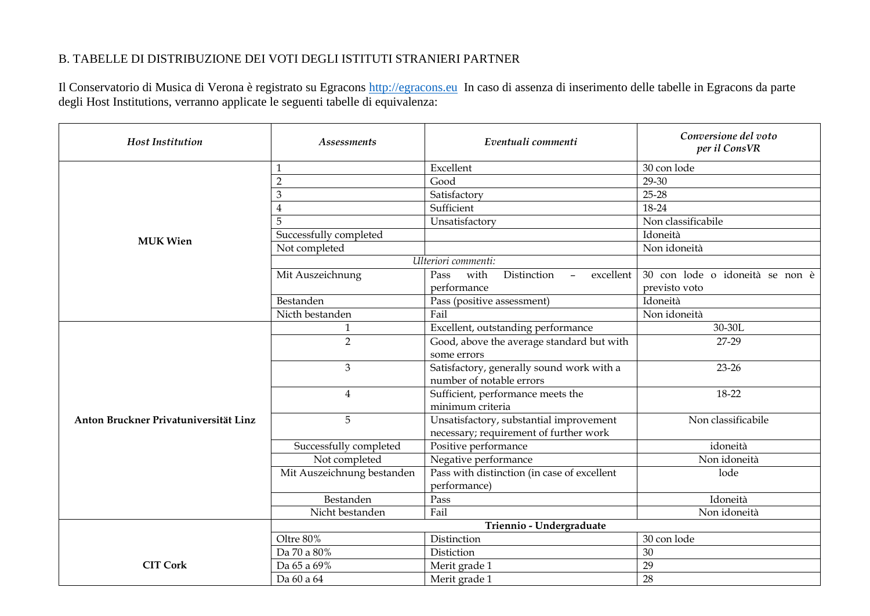## B. TABELLE DI DISTRIBUZIONE DEI VOTI DEGLI ISTITUTI STRANIERI PARTNER

Il Conservatorio di Musica di Verona è registrato su Egracons *http://egracons.eu* In caso di assenza di inserimento delle tabelle in Egracons da parte degli Host Institutions, verranno applicate le seguenti tabelle di equivalenza:

| <b>Host Institution</b>               | <i>Assessments</i>         | Eventuali commenti                                          | Conversione del voto<br>per il ConsVR |
|---------------------------------------|----------------------------|-------------------------------------------------------------|---------------------------------------|
|                                       | 1                          | Excellent                                                   | 30 con lode                           |
|                                       | $\overline{2}$             | Good                                                        | 29-30                                 |
|                                       | 3                          | Satisfactory                                                | $25 - 28$                             |
|                                       | 4                          | Sufficient                                                  | 18-24                                 |
|                                       | 5                          | Unsatisfactory                                              | Non classificabile                    |
| <b>MUK Wien</b>                       | Successfully completed     |                                                             | Idoneità                              |
|                                       | Not completed              |                                                             | Non idoneità                          |
|                                       |                            | Ulteriori commenti:                                         |                                       |
|                                       | Mit Auszeichnung           | with<br>Distinction<br>Pass<br>excellent<br>$\sim$ $-$      | 30 con lode o idoneità se non è       |
|                                       |                            | performance                                                 | previsto voto                         |
|                                       | Bestanden                  | Pass (positive assessment)                                  | Idoneità                              |
|                                       | Nicth bestanden            | Fail                                                        | Non idoneità                          |
|                                       | 1                          | Excellent, outstanding performance                          | 30-30L                                |
|                                       | $\overline{2}$             | Good, above the average standard but with                   | 27-29                                 |
|                                       |                            | some errors                                                 |                                       |
|                                       | $\overline{3}$             | Satisfactory, generally sound work with a                   | $23 - 26$                             |
|                                       |                            | number of notable errors                                    |                                       |
|                                       | $\overline{4}$             | Sufficient, performance meets the                           | 18-22                                 |
|                                       |                            | minimum criteria                                            |                                       |
| Anton Bruckner Privatuniversität Linz | 5                          | Unsatisfactory, substantial improvement                     | Non classificabile                    |
|                                       |                            | necessary; requirement of further work                      |                                       |
|                                       | Successfully completed     | Positive performance                                        | idoneità                              |
|                                       | Not completed              | Negative performance                                        | Non idoneità                          |
|                                       | Mit Auszeichnung bestanden | Pass with distinction (in case of excellent<br>performance) | lode                                  |
|                                       | Bestanden                  | Pass                                                        | Idoneità                              |
|                                       | Nicht bestanden            | Fail                                                        | Non idoneità                          |
|                                       |                            | Triennio - Undergraduate                                    |                                       |
|                                       | Oltre 80%                  | Distinction                                                 | 30 con lode                           |
|                                       | Da 70 a 80%                | Distiction                                                  | 30                                    |
| <b>CIT Cork</b>                       | Da 65 a 69%                | Merit grade 1                                               | 29                                    |
|                                       | Da 60 a 64                 | Merit grade 1                                               | 28                                    |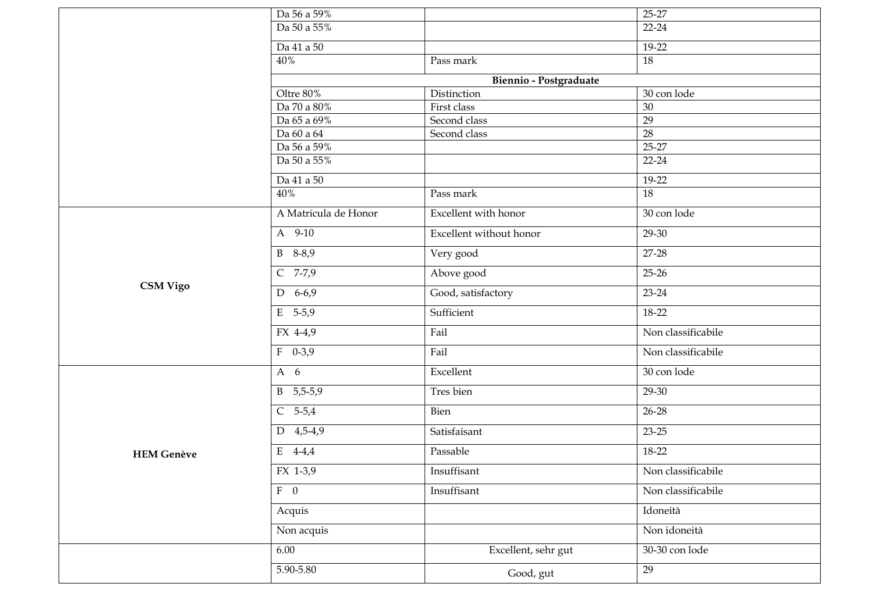|                   | Da 56 a 59%          |                         | $25 - 27$          |
|-------------------|----------------------|-------------------------|--------------------|
|                   | Da 50 a 55%          |                         | $22 - 24$          |
|                   | Da 41 a 50           |                         | 19-22              |
|                   | 40%                  | Pass mark               | 18                 |
|                   |                      | Biennio - Postgraduate  |                    |
|                   | Oltre 80%            | Distinction             | 30 con lode        |
|                   | Da 70 a 80%          | First class             | 30                 |
|                   | Da 65 a 69%          | Second class            | 29                 |
|                   | Da 60 a 64           | Second class            | 28                 |
|                   | Da 56 a 59%          |                         | $25 - 27$          |
|                   | Da 50 a 55%          |                         | $22 - 24$          |
|                   | Da 41 a 50           |                         | $19-22$            |
|                   | 40%                  | Pass mark               | 18                 |
|                   | A Matricula de Honor | Excellent with honor    | 30 con lode        |
|                   | A 9-10               | Excellent without honor | 29-30              |
|                   | $B$ 8-8,9            | Very good               | 27-28              |
| <b>CSM Vigo</b>   | $C$ 7-7,9            | Above good              | $25 - 26$          |
|                   | $D$ 6-6,9            | Good, satisfactory      | $23 - 24$          |
|                   | $E$ 5-5,9            | Sufficient              | 18-22              |
|                   | FX 4-4,9             | Fail                    | Non classificabile |
|                   | $F = 0-3,9$          | Fail                    | Non classificabile |
|                   | $A \quad 6$          | Excellent               | 30 con lode        |
|                   | $B = 5,5-5,9$        | Tres bien               | 29-30              |
|                   | $C$ 5-5,4            | Bien                    | $26 - 28$          |
|                   | $D$ 4,5-4,9          | Satisfaisant            | $23 - 25$          |
| <b>HEM Genève</b> | $E$ 4-4,4            | Passable                | 18-22              |
|                   | FX 1-3,9             | Insuffisant             | Non classificabile |
|                   | $F \quad 0$          | Insuffisant             | Non classificabile |
|                   | Acquis               |                         | Idoneità           |
|                   | Non acquis           |                         | Non idoneità       |
|                   | 6.00                 | Excellent, sehr gut     | 30-30 con lode     |
|                   | 5.90-5.80            | Good, gut               | 29                 |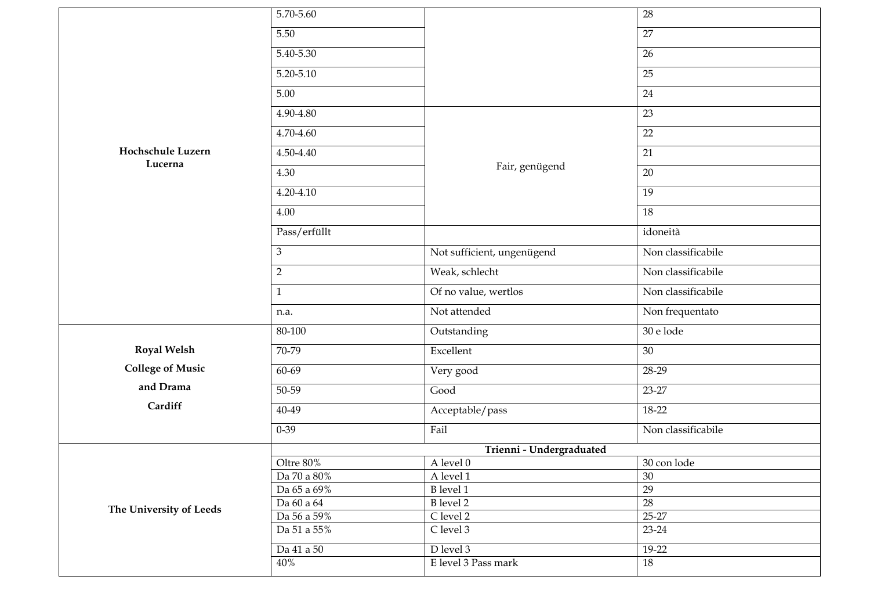|                                     | 5.70-5.60      |                            | 28                 |
|-------------------------------------|----------------|----------------------------|--------------------|
|                                     | 5.50           |                            | 27                 |
|                                     | 5.40-5.30      |                            | 26                 |
|                                     | 5.20-5.10      |                            | 25                 |
|                                     | 5.00           |                            | 24                 |
|                                     | 4.90-4.80      |                            | $\overline{23}$    |
|                                     | 4.70-4.60      |                            | 22                 |
| <b>Hochschule Luzern</b><br>Lucerna | 4.50-4.40      |                            | 21                 |
|                                     | 4.30           | Fair, genügend             | 20                 |
|                                     | 4.20-4.10      |                            | $\overline{19}$    |
|                                     | 4.00           |                            | 18                 |
|                                     | Pass/erfüllt   |                            | idoneità           |
|                                     | 3              | Not sufficient, ungenügend | Non classificabile |
|                                     | $\overline{2}$ | Weak, schlecht             | Non classificabile |
|                                     | $\mathbf{1}$   | Of no value, wertlos       | Non classificabile |
|                                     | n.a.           | Not attended               | Non frequentato    |
|                                     | 80-100         | Outstanding                | 30 e lode          |
| <b>Royal Welsh</b>                  | 70-79          | Excellent                  | 30                 |
| <b>College of Music</b>             | 60-69          | Very good                  | 28-29              |
| and Drama                           | 50-59          | Good                       | 23-27              |
| Cardiff                             | 40-49          | Acceptable/pass            | 18-22              |
|                                     | $0 - 39$       | Fail                       | Non classificabile |
|                                     |                | Trienni - Undergraduated   |                    |
|                                     | Oltre 80%      | A level 0                  | 30 con lode        |
|                                     | Da 70 a 80%    | A level 1                  | 30                 |
|                                     | Da 65 a 69%    | <b>B</b> level 1           | 29                 |
| The University of Leeds             | Da 60 a 64     | <b>B</b> level 2           | $\overline{28}$    |
|                                     | Da 56 a 59%    | C level 2                  | $25-27$            |
|                                     | Da 51 a 55%    | C level 3                  | $23 - 24$          |
|                                     | Da 41 a 50     | D level 3                  | 19-22              |
|                                     | 40%            | E level 3 Pass mark        | 18                 |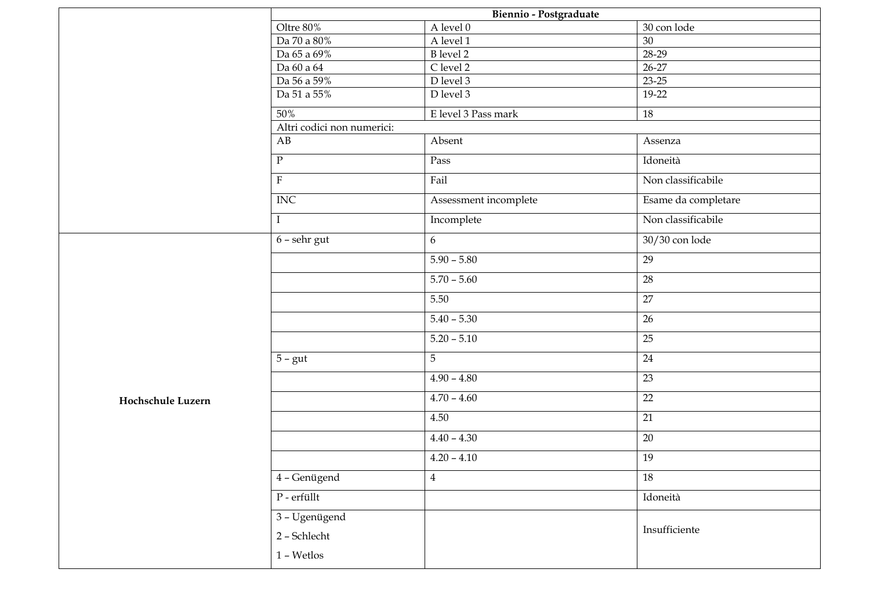|                   | Biennio - Postgraduate      |                         |                     |  |  |  |  |  |  |  |  |
|-------------------|-----------------------------|-------------------------|---------------------|--|--|--|--|--|--|--|--|
|                   | Oltre $80\%$                | A level $0$             | 30 con lode         |  |  |  |  |  |  |  |  |
|                   | Da 70 a 80%                 | A level 1               | $30\,$              |  |  |  |  |  |  |  |  |
|                   | Da 65 a 69%                 | <b>B</b> level 2        | 28-29               |  |  |  |  |  |  |  |  |
|                   | Da 60 a 64                  | C level 2               | $26 - 27$           |  |  |  |  |  |  |  |  |
|                   | Da 56 a 59%                 | D level 3               | $23 - 25$           |  |  |  |  |  |  |  |  |
|                   | Da 51 a 55%                 | D level 3               | 19-22               |  |  |  |  |  |  |  |  |
|                   | 50%                         | E level 3 Pass mark     | 18                  |  |  |  |  |  |  |  |  |
|                   | Altri codici non numerici:  |                         |                     |  |  |  |  |  |  |  |  |
|                   | AB                          | Absent                  | Assenza             |  |  |  |  |  |  |  |  |
|                   | $\overline{\mathbf{P}}$     | Pass                    | Idoneità            |  |  |  |  |  |  |  |  |
|                   | $\overline{\mathrm{F}}$     | Fail                    | Non classificabile  |  |  |  |  |  |  |  |  |
|                   | INC                         | Assessment incomplete   | Esame da completare |  |  |  |  |  |  |  |  |
|                   | $\rm I$                     | Incomplete              | Non classificabile  |  |  |  |  |  |  |  |  |
|                   | $6$ – sehr gut              | 6                       | 30/30 con lode      |  |  |  |  |  |  |  |  |
|                   |                             | $5.90 - 5.80$           | 29                  |  |  |  |  |  |  |  |  |
|                   |                             | $5.70 - 5.60$           | 28                  |  |  |  |  |  |  |  |  |
|                   |                             | 5.50                    | $\overline{27}$     |  |  |  |  |  |  |  |  |
|                   |                             | $5.40 - 5.30$           | 26                  |  |  |  |  |  |  |  |  |
|                   |                             | $5.20 - 5.10$           | 25                  |  |  |  |  |  |  |  |  |
|                   | $5 - gut$                   | 5                       | 24                  |  |  |  |  |  |  |  |  |
|                   |                             | $4.90 - 4.80$           | $\overline{23}$     |  |  |  |  |  |  |  |  |
| Hochschule Luzern |                             | $4.70 - 4.60$           | 22                  |  |  |  |  |  |  |  |  |
|                   |                             | 4.50                    | 21                  |  |  |  |  |  |  |  |  |
|                   |                             | $4.40 - 4.30$           | $20\,$              |  |  |  |  |  |  |  |  |
|                   |                             | $4.20 - 4.10$           | 19                  |  |  |  |  |  |  |  |  |
|                   | 4 - Genügend                | $\overline{\mathbf{4}}$ | $18\,$              |  |  |  |  |  |  |  |  |
|                   | ${\bf P}$ - ${\bf erfullt}$ |                         | Idoneità            |  |  |  |  |  |  |  |  |
|                   | 3 - Ugenügend               |                         | Insufficiente       |  |  |  |  |  |  |  |  |
|                   | $2$ – Schlecht $\,$         |                         |                     |  |  |  |  |  |  |  |  |
|                   | $1$ – Wetlos $\,$           |                         |                     |  |  |  |  |  |  |  |  |
|                   |                             |                         |                     |  |  |  |  |  |  |  |  |